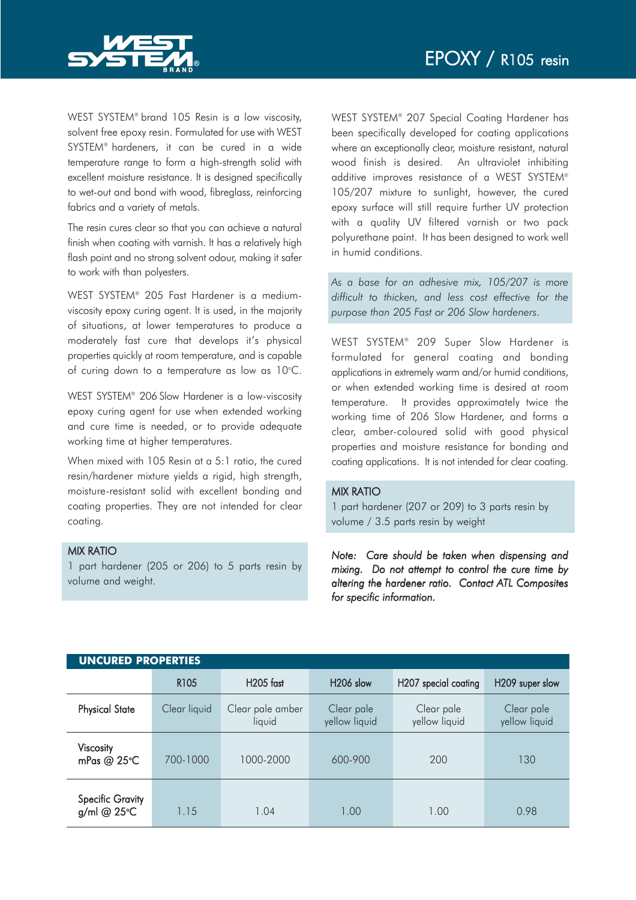

WEST SYSTEM® brand 105 Resin is a low viscosity, solvent free epoxy resin. Formulated for use with WEST SYSTEM® hardeners, it can be cured in a wide temperature range to form a high-strength solid with excellent moisture resistance. It is designed specifically to wet-out and bond with wood, fibreglass, reinforcing fabrics and a variety of metals.

The resin cures clear so that you can achieve a natural finish when coating with varnish. It has a relatively high flash point and no strong solvent odour, making it safer to work with than polyesters.

WEST SYSTEM® 205 Fast Hardener is a mediumviscosity epoxy curing agent. It is used, in the majority of situations, at lower temperatures to produce a moderately fast cure that develops it's physical properties quickly at room temperature, and is capable of curing down to a temperature as low as  $10^{\circ}$ C.

WEST SYSTEM<sup>®</sup> 206 Slow Hardener is a low-viscosity epoxy curing agent for use when extended working and cure time is needed, or to provide adequate working time at higher temperatures.

When mixed with 105 Resin at a 5:1 ratio, the cured resin/hardener mixture yields a rigid, high strength, moisture-resistant solid with excellent bonding and coating properties. They are not intended for clear coating.

## MIX RATIO

1 part hardener (205 or 206) to 5 parts resin by volume and weight.

WEST SYSTEM® 207 Special Coating Hardener has been specifically developed for coating applications where an exceptionally clear, moisture resistant, natural wood finish is desired. An ultraviolet inhibiting additive improves resistance of a WEST SYSTEM® 105/207 mixture to sunlight, however, the cured epoxy surface will still require further UV protection with a quality UV filtered varnish or two pack polyurethane paint. It has been designed to work well in humid conditions.

*As a base for an adhesive mix, 105/207 is more difficult to thicken, and less cost effective for the purpose than 205 Fast or 206 Slow hardeners*.

WEST SYSTEM® 209 Super Slow Hardener is formulated for general coating and bonding applications in extremely warm and/or humid conditions, or when extended working time is desired at room temperature. It provides approximately twice the working time of 206 Slow Hardener, and forms a clear, amber-coloured solid with good physical properties and moisture resistance for bonding and coating applications. It is not intended for clear coating.

## MIX RATIO

1 part hardener (207 or 209) to 3 parts resin by volume / 3.5 parts resin by weight

*Note: Care should be taken when dispensing and mixing. Do not attempt to control the cure time by altering the hardener ratio. Contact ATL Composites for specific information.*

| <b>UNCURED PROPERTIES</b>              |                  |                            |                             |                             |                             |  |  |  |
|----------------------------------------|------------------|----------------------------|-----------------------------|-----------------------------|-----------------------------|--|--|--|
|                                        | R <sub>105</sub> | $H205$ fast                | H <sub>206</sub> slow       | H207 special coating        | H209 super slow             |  |  |  |
| <b>Physical State</b>                  | Clear liquid     | Clear pale amber<br>liquid | Clear pale<br>yellow liquid | Clear pale<br>yellow liquid | Clear pale<br>yellow liquid |  |  |  |
| Viscosity<br>mPas @ 25°C               | 700-1000         | 1000-2000                  | 600-900                     | 200                         | 130                         |  |  |  |
| <b>Specific Gravity</b><br>g/ml @ 25°C | 1.15             | 1.04                       | 1.00                        | 1.00                        | 0.98                        |  |  |  |